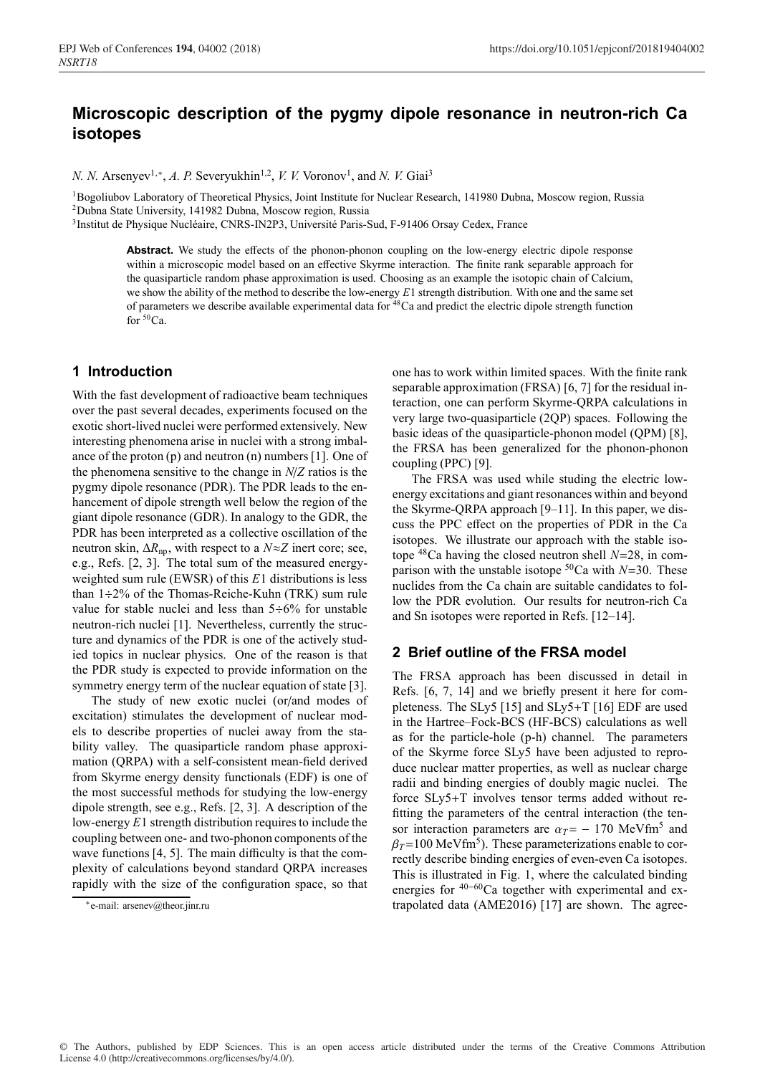# **Microscopic description of the pygmy dipole resonance in neutron-rich Ca isotopes**

*N. N.* Arsenyev<sup>1,∗</sup>, *A. P.* Severyukhin<sup>1,2</sup>, *V. V.* Voronov<sup>1</sup>, and *N. V.* Giai<sup>3</sup>

<sup>1</sup>Bogoliubov Laboratory of Theoretical Physics, Joint Institute for Nuclear Research, 141980 Dubna, Moscow region, Russia 2Dubna State University, 141982 Dubna, Moscow region, Russia

3Institut de Physique Nucléaire, CNRS-IN2P3, Université Paris-Sud, F-91406 Orsay Cedex, France

Abstract. We study the effects of the phonon-phonon coupling on the low-energy electric dipole response within a microscopic model based on an effective Skyrme interaction. The finite rank separable approach for the quasiparticle random phase approximation is used. Choosing as an example the isotopic chain of Calcium, we show the ability of the method to describe the low-energy *E*1 strength distribution. With one and the same set of parameters we describe available experimental data for 48Ca and predict the electric dipole strength function for  $50Ca$ .

# **1 Introduction**

With the fast development of radioactive beam techniques over the past several decades, experiments focused on the exotic short-lived nuclei were performed extensively. New interesting phenomena arise in nuclei with a strong imbalance of the proton (p) and neutron (n) numbers [1]. One of the phenomena sensitive to the change in *N*/*Z* ratios is the pygmy dipole resonance (PDR). The PDR leads to the enhancement of dipole strength well below the region of the giant dipole resonance (GDR). In analogy to the GDR, the PDR has been interpreted as a collective oscillation of the neutron skin,  $\Delta R_{\text{np}}$ , with respect to a  $N \approx Z$  inert core; see, e.g., Refs. [2, 3]. The total sum of the measured energyweighted sum rule (EWSR) of this *E*1 distributions is less than  $1\div 2\%$  of the Thomas-Reiche-Kuhn (TRK) sum rule value for stable nuclei and less than  $5 \div 6\%$  for unstable neutron-rich nuclei [1]. Nevertheless, currently the structure and dynamics of the PDR is one of the actively studied topics in nuclear physics. One of the reason is that the PDR study is expected to provide information on the symmetry energy term of the nuclear equation of state [3].

The study of new exotic nuclei (or/and modes of excitation) stimulates the development of nuclear models to describe properties of nuclei away from the stability valley. The quasiparticle random phase approximation (QRPA) with a self-consistent mean-field derived from Skyrme energy density functionals (EDF) is one of the most successful methods for studying the low-energy dipole strength, see e.g., Refs. [2, 3]. A description of the low-energy *E*1 strength distribution requires to include the coupling between one- and two-phonon components of the wave functions [4, 5]. The main difficulty is that the complexity of calculations beyond standard QRPA increases rapidly with the size of the configuration space, so that

one has to work within limited spaces. With the finite rank separable approximation (FRSA) [6, 7] for the residual interaction, one can perform Skyrme-QRPA calculations in very large two-quasiparticle (2QP) spaces. Following the basic ideas of the quasiparticle-phonon model (QPM) [8], the FRSA has been generalized for the phonon-phonon coupling (PPC) [9].

The FRSA was used while studing the electric lowenergy excitations and giant resonances within and beyond the Skyrme-QRPA approach [9–11]. In this paper, we discuss the PPC effect on the properties of PDR in the Ca isotopes. We illustrate our approach with the stable isotope 48Ca having the closed neutron shell *N*=28, in comparison with the unstable isotope  ${}^{50}$ Ca with *N*=30. These nuclides from the Ca chain are suitable candidates to follow the PDR evolution. Our results for neutron-rich Ca and Sn isotopes were reported in Refs. [12–14].

## **2 Brief outline of the FRSA model**

The FRSA approach has been discussed in detail in Refs. [6, 7, 14] and we briefly present it here for completeness. The SLy5 [15] and SLy5+T [16] EDF are used in the Hartree–Fock-BCS (HF-BCS) calculations as well as for the particle-hole (p-h) channel. The parameters of the Skyrme force SLy5 have been adjusted to reproduce nuclear matter properties, as well as nuclear charge radii and binding energies of doubly magic nuclei. The force SLy5+T involves tensor terms added without refitting the parameters of the central interaction (the tensor interaction parameters are  $\alpha_T = -170$  MeVfm<sup>5</sup> and  $\beta_T$ =100 MeVfm<sup>5</sup>). These parameterizations enable to correctly describe binding energies of even-even Ca isotopes. This is illustrated in Fig. 1, where the calculated binding energies for <sup>40</sup><sup>−</sup>60Ca together with experimental and extrapolated data (AME2016) [17] are shown. The agree-

<sup>∗</sup>e-mail: arsenev@theor.jinr.ru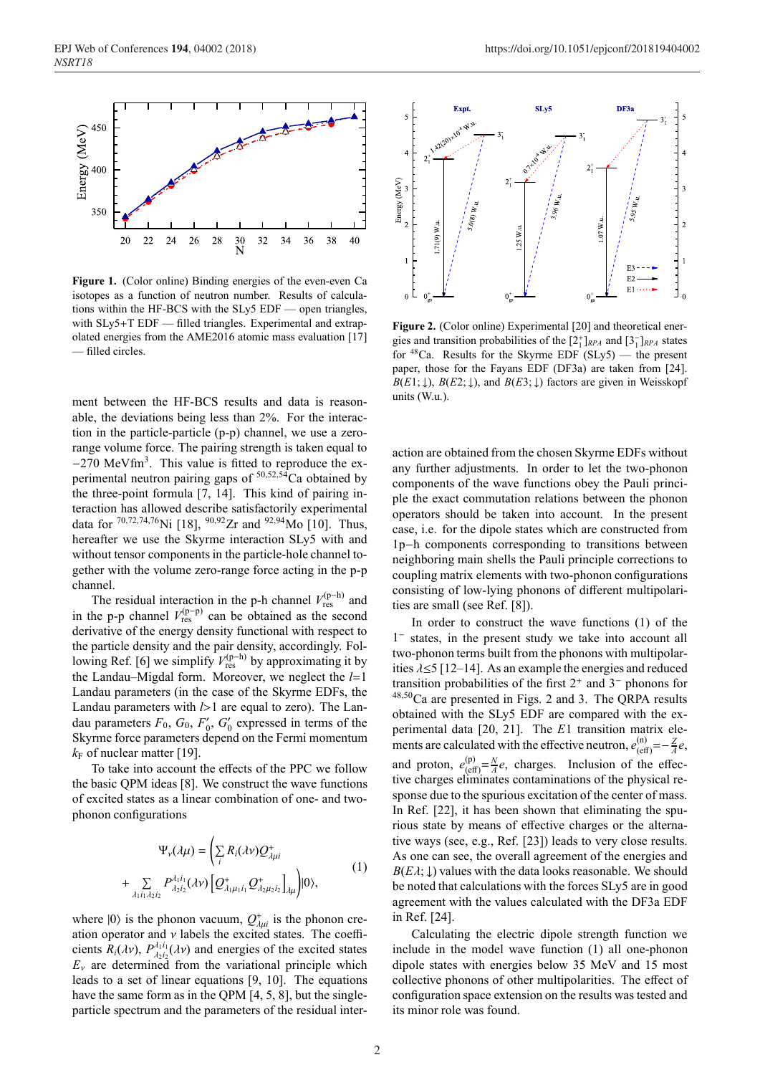

**Figure 1.** (Color online) Binding energies of the even-even Ca isotopes as a function of neutron number. Results of calculations within the HF-BCS with the SLy5 EDF — open triangles, with  $SLy5+T$  EDF — filled triangles. Experimental and extrapolated energies from the AME2016 atomic mass evaluation [17] — filled circles.

ment between the HF-BCS results and data is reasonable, the deviations being less than 2%. For the interaction in the particle-particle (p-p) channel, we use a zerorange volume force. The pairing strength is taken equal to −270 MeVfm<sup>3</sup>. This value is fitted to reproduce the experimental neutron pairing gaps of  $50,52,54$ Ca obtained by the three-point formula [7, 14]. This kind of pairing interaction has allowed describe satisfactorily experimental data for  $^{70,72,74,76}$ Ni [18],  $^{90,92}Zr$  and  $^{92,94}$ Mo [10]. Thus, hereafter we use the Skyrme interaction SLy5 with and without tensor components in the particle-hole channel together with the volume zero-range force acting in the p-p channel.

The residual interaction in the p-h channel  $V_{\text{res}}^{(p-h)}$  and in the p-p channel  $V_{\text{res}}^{(p-p)}$  can be obtained as the second derivative of the energy density functional with respect to the particle density and the pair density, accordingly. Following Ref. [6] we simplify  $V_{\text{res}}^{(p-h)}$  by approximating it by the Landau–Migdal form. Moreover, we neglect the *l*=1 Landau parameters (in the case of the Skyrme EDFs, the Landau parameters with *l*>1 are equal to zero). The Landau parameters  $F_0$ ,  $G_0$ ,  $F'_0$ ,  $G'_0$  expressed in terms of the Skyrme force parameters depend on the Fermi momentum  $k_F$  of nuclear matter [19].

To take into account the effects of the PPC we follow the basic QPM ideas [8]. We construct the wave functions of excited states as a linear combination of one- and twophonon configurations

$$
\Psi_{\nu}(\lambda\mu) = \left(\sum_{i} R_{i}(\lambda\nu) Q^{+}_{\lambda\mu i}\right) \n+ \sum_{\lambda_{1}i_{1}\lambda_{2}i_{2}} P^{\lambda_{1}i_{1}}_{\lambda_{2}i_{2}}(\lambda\nu) \left[Q^{+}_{\lambda_{1}\mu_{1}i_{1}} Q^{+}_{\lambda_{2}\mu_{2}i_{2}}\right]_{\lambda\mu}\right)|0\rangle,
$$
\n(1)

where  $|0\rangle$  is the phonon vacuum,  $Q_{\lambda\mu i}^{+}$  is the phonon creation operator and  $\nu$  labels the excited states. The coefficients  $R_i(\lambda v)$ ,  $P_{\lambda_2 i_2}^{\lambda_1 i_1}(\lambda v)$  and energies of the excited states  $E<sub>v</sub>$  are determined from the variational principle which leads to a set of linear equations [9, 10]. The equations have the same form as in the QPM [4, 5, 8], but the singleparticle spectrum and the parameters of the residual inter-



**Figure 2.** (Color online) Experimental [20] and theoretical energies and transition probabilities of the  $[2^+_1]_{RPA}$  and  $[3^-_1]_{RPA}$  states for  $48$ Ca. Results for the Skyrme EDF (SLy5) — the present paper, those for the Fayans EDF (DF3a) are taken from [24].  $B(E1; \downarrow)$ ,  $B(E2; \downarrow)$ , and  $B(E3; \downarrow)$  factors are given in Weisskopf units (W.u.).

action are obtained from the chosen Skyrme EDFs without any further adjustments. In order to let the two-phonon components of the wave functions obey the Pauli principle the exact commutation relations between the phonon operators should be taken into account. In the present case, i.e. for the dipole states which are constructed from 1p−h components corresponding to transitions between neighboring main shells the Pauli principle corrections to coupling matrix elements with two-phonon configurations consisting of low-lying phonons of different multipolarities are small (see Ref. [8]).

In order to construct the wave functions (1) of the 1<sup>−</sup> states, in the present study we take into account all two-phonon terms built from the phonons with multipolarities  $\lambda \leq 5$  [12–14]. As an example the energies and reduced transition probabilities of the first 2<sup>+</sup> and 3<sup>−</sup> phonons for <sup>48</sup>,50Ca are presented in Figs. 2 and 3. The QRPA results obtained with the SLy5 EDF are compared with the experimental data [20, 21]. The *E*1 transition matrix elements are calculated with the effective neutron,  $e_{\text{(eff)}}^{(n)} = -\frac{Z}{A}e$ , and proton,  $e_{\text{ref}}^{(p)}$  $\frac{(\text{p})}{(\text{eff})} = \frac{N}{A}e$ , charges. Inclusion of the effective charges eliminates contaminations of the physical response due to the spurious excitation of the center of mass. In Ref. [22], it has been shown that eliminating the spurious state by means of effective charges or the alternative ways (see, e.g., Ref. [23]) leads to very close results. As one can see, the overall agreement of the energies and  $B(E\lambda; \downarrow)$  values with the data looks reasonable. We should be noted that calculations with the forces SLy5 are in good agreement with the values calculated with the DF3a EDF in Ref. [24].

Calculating the electric dipole strength function we include in the model wave function (1) all one-phonon dipole states with energies below 35 MeV and 15 most collective phonons of other multipolarities. The effect of configuration space extension on the results was tested and its minor role was found.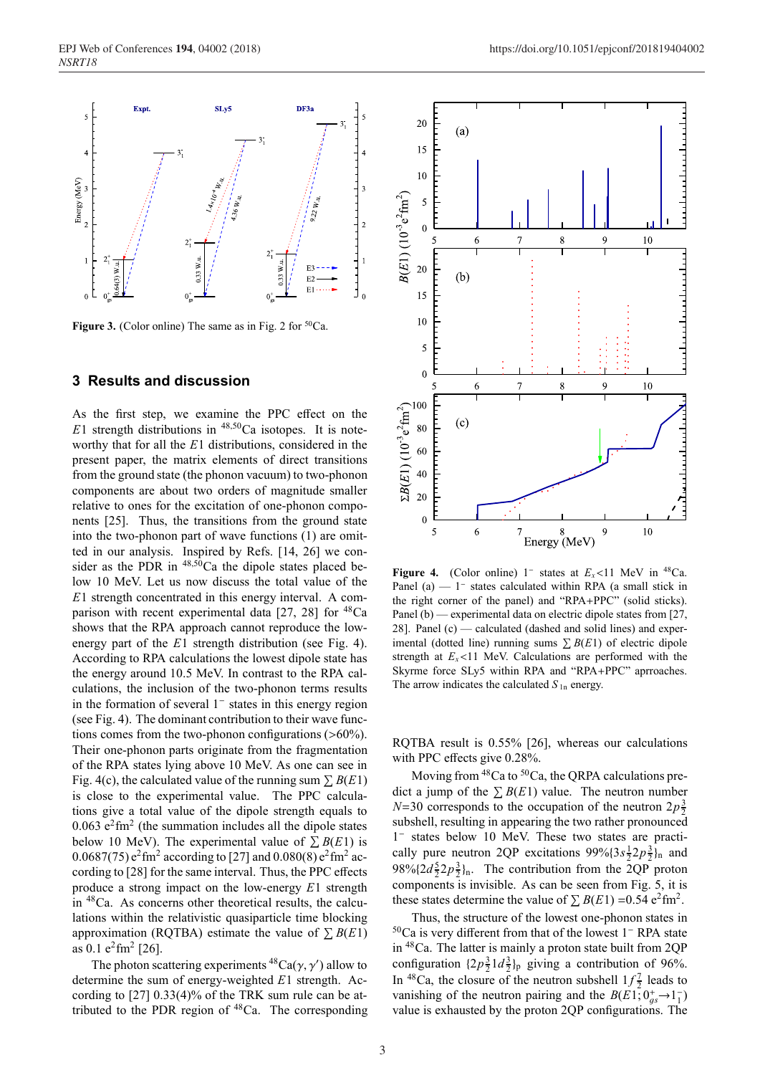

**Figure 3.** (Color online) The same as in Fig. 2 for <sup>50</sup>Ca.

#### **3 Results and discussion**

As the first step, we examine the PPC effect on the  $E1$  strength distributions in  $48,50$ Ca isotopes. It is noteworthy that for all the *E*1 distributions, considered in the present paper, the matrix elements of direct transitions from the ground state (the phonon vacuum) to two-phonon components are about two orders of magnitude smaller relative to ones for the excitation of one-phonon components [25]. Thus, the transitions from the ground state into the two-phonon part of wave functions (1) are omitted in our analysis. Inspired by Refs. [14, 26] we consider as the PDR in  $48,50$ Ca the dipole states placed below 10 MeV. Let us now discuss the total value of the *E*1 strength concentrated in this energy interval. A comparison with recent experimental data  $[27, 28]$  for  $^{48}Ca$ shows that the RPA approach cannot reproduce the lowenergy part of the *E*1 strength distribution (see Fig. 4). According to RPA calculations the lowest dipole state has the energy around 10.5 MeV. In contrast to the RPA calculations, the inclusion of the two-phonon terms results in the formation of several 1<sup>−</sup> states in this energy region (see Fig. 4). The dominant contribution to their wave functions comes from the two-phonon configurations  $(>60\%)$ . Their one-phonon parts originate from the fragmentation of the RPA states lying above 10 MeV. As one can see in Fig. 4(c), the calculated value of the running sum  $\sum B(E1)$ is close to the experimental value. The PPC calculations give a total value of the dipole strength equals to  $0.063$  e<sup>2</sup>fm<sup>2</sup> (the summation includes all the dipole states below 10 MeV). The experimental value of  $\sum B(E1)$  is 0.0687(75)  $e^2$  fm<sup>2</sup> according to [27] and 0.080(8)  $e^2$  fm<sup>2</sup> according to [28] for the same interval. Thus, the PPC effects produce a strong impact on the low-energy *E*1 strength in 48Ca. As concerns other theoretical results, the calculations within the relativistic quasiparticle time blocking approximation (RQTBA) estimate the value of  $\Sigma$  *B*(*E*1) as  $0.1$  e<sup>2</sup>fm<sup>2</sup> [26].

The photon scattering experiments  ${}^{48}Ca(\gamma, \gamma')$  allow to determine the sum of energy-weighted *E*1 strength. According to [27] 0.33(4)% of the TRK sum rule can be attributed to the PDR region of 48Ca. The corresponding



**Figure 4.** (Color online) 1<sup>-</sup> states at  $E_x$ <11 MeV in <sup>48</sup>Ca. Panel (a) — 1<sup>−</sup> states calculated within RPA (a small stick in the right corner of the panel) and "RPA+PPC" (solid sticks). Panel (b) — experimental data on electric dipole states from [27, 28]. Panel (c) — calculated (dashed and solid lines) and experimental (dotted line) running sums  $\sum B(E1)$  of electric dipole strength at  $E_x$ <11 MeV. Calculations are performed with the Skyrme force SLy5 within RPA and "RPA+PPC" aprroaches. The arrow indicates the calculated  $S_{1n}$  energy.

RQTBA result is 0.55% [26], whereas our calculations with PPC effects give 0.28%.

Moving from  $48$ Ca to  $50$ Ca, the ORPA calculations predict a jump of the  $\sum B(E1)$  value. The neutron number  $N=30$  corresponds to the occupation of the neutron  $2p\frac{3}{2}$ subshell, resulting in appearing the two rather pronounced 1<sup>−</sup> states below 10 MeV. These two states are practically pure neutron 2QP excitations  $99\%$  $(3s\frac{1}{2}2p\frac{3}{2})_n$  and  $98\frac{6}{2}2p\frac{3}{2}$ <sub>n</sub>. The contribution from the 2QP proton components is invisible. As can be seen from Fig. 5, it is these states determine the value of  $\sum B(E1) = 0.54 \text{ e}^2 \text{fm}^2$ .

Thus, the structure of the lowest one-phonon states in 50Ca is very different from that of the lowest 1<sup>−</sup> RPA state in 48Ca. The latter is mainly a proton state built from 2QP configuration  $\{2p_2^3 1d_2^3\}$ <sub>p</sub> giving a contribution of 96%. In <sup>48</sup>Ca, the closure of the neutron subshell  $1f\frac{7}{2}$  leads to vanishing of the neutron pairing and the  $B(E1, 0<sub>gs</sub><sup>+</sup> \rightarrow 1<sub>1</sub><sup>-</sup>)$ value is exhausted by the proton 2QP configurations. The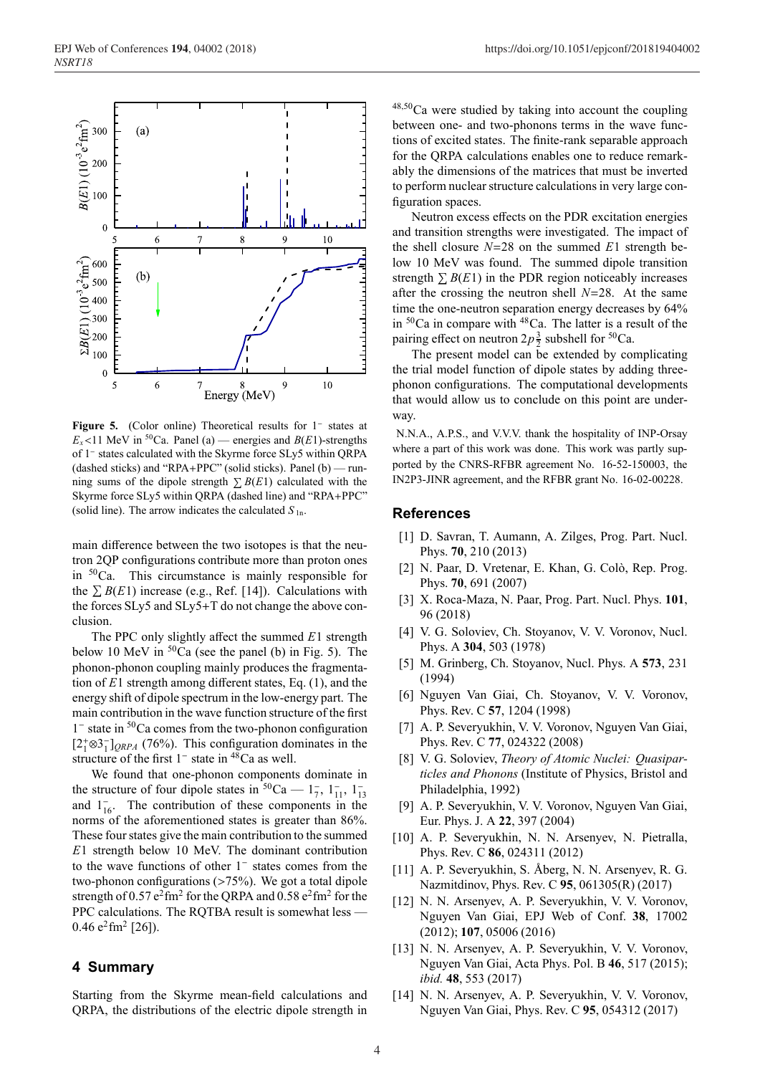

**Figure 5.** (Color online) Theoretical results for 1<sup>−</sup> states at  $E_x$ <11 MeV in <sup>50</sup>Ca. Panel (a) — energies and *B*(*E*1)-strengths of 1<sup>−</sup> states calculated with the Skyrme force SLy5 within QRPA (dashed sticks) and "RPA+PPC" (solid sticks). Panel (b) — running sums of the dipole strength  $\sum B(E1)$  calculated with the Skyrme force SLy5 within QRPA (dashed line) and "RPA+PPC" (solid line). The arrow indicates the calculated  $S_{1n}$ .

main difference between the two isotopes is that the neutron 2QP configurations contribute more than proton ones in  $50$ Ca. This circumstance is mainly responsible for the  $\sum B(E1)$  increase (e.g., Ref. [14]). Calculations with the forces SLy5 and SLy5+T do not change the above conclusion.

The PPC only slightly affect the summed *E*1 strength below 10 MeV in  ${}^{50}Ca$  (see the panel (b) in Fig. 5). The phonon-phonon coupling mainly produces the fragmentation of *E*1 strength among different states, Eq. (1), and the energy shift of dipole spectrum in the low-energy part. The main contribution in the wave function structure of the first 1<sup>−</sup> state in <sup>50</sup>Ca comes from the two-phonon configuration  $[2^+_1 \otimes 3^-_1]_{QRPA}$  (76%). This configuration dominates in the structure of the first  $1^-$  state in  $48$ Ca as well.

We found that one-phonon components dominate in the structure of four dipole states in  ${}^{50}Ca - 1_7^{\{-1, 1\}}$ ,  $1_{13}^{\{-1, 1\}}$ and  $1_{16}^-$ . The contribution of these components in the norms of the aforementioned states is greater than 86%. These four states give the main contribution to the summed *E*1 strength below 10 MeV. The dominant contribution to the wave functions of other 1<sup>−</sup> states comes from the two-phonon configurations (>75%). We got a total dipole strength of  $0.57 \text{ e}^2 \text{fm}^2$  for the QRPA and  $0.58 \text{ e}^2 \text{fm}^2$  for the PPC calculations. The RQTBA result is somewhat less — 0.46  $e^2$ fm<sup>2</sup> [26]).

### **4 Summary**

Starting from the Skyrme mean-field calculations and QRPA, the distributions of the electric dipole strength in <sup>48</sup>,50Ca were studied by taking into account the coupling between one- and two-phonons terms in the wave functions of excited states. The finite-rank separable approach for the QRPA calculations enables one to reduce remarkably the dimensions of the matrices that must be inverted to perform nuclear structure calculations in very large configuration spaces.

Neutron excess effects on the PDR excitation energies and transition strengths were investigated. The impact of the shell closure *N*=28 on the summed *E*1 strength below 10 MeV was found. The summed dipole transition strength  $\sum B(E1)$  in the PDR region noticeably increases after the crossing the neutron shell *N*=28. At the same time the one-neutron separation energy decreases by 64% in  ${}^{50}Ca$  in compare with  ${}^{48}Ca$ . The latter is a result of the pairing effect on neutron  $2p\frac{3}{2}$  subshell for <sup>50</sup>Ca.

The present model can be extended by complicating the trial model function of dipole states by adding threephonon configurations. The computational developments that would allow us to conclude on this point are underway.

N.N.A., A.P.S., and V.V.V. thank the hospitality of INP-Orsay where a part of this work was done. This work was partly supported by the CNRS-RFBR agreement No. 16-52-150003, the IN2P3-JINR agreement, and the RFBR grant No. 16-02-00228.

#### **References**

- [1] D. Savran, T. Aumann, A. Zilges, Prog. Part. Nucl. Phys. **70**, 210 (2013)
- [2] N. Paar, D. Vretenar, E. Khan, G. Colò, Rep. Prog. Phys. **70**, 691 (2007)
- [3] X. Roca-Maza, N. Paar, Prog. Part. Nucl. Phys. **101**, 96 (2018)
- [4] V. G. Soloviev, Ch. Stoyanov, V. V. Voronov, Nucl. Phys. A **304**, 503 (1978)
- [5] M. Grinberg, Ch. Stoyanov, Nucl. Phys. A **573**, 231 (1994)
- [6] Nguyen Van Giai, Ch. Stoyanov, V. V. Voronov, Phys. Rev. C **57**, 1204 (1998)
- [7] A. P. Severyukhin, V. V. Voronov, Nguyen Van Giai, Phys. Rev. C **77**, 024322 (2008)
- [8] V. G. Soloviev, *Theory of Atomic Nuclei: Quasiparticles and Phonons* (Institute of Physics, Bristol and Philadelphia, 1992)
- [9] A. P. Severyukhin, V. V. Voronov, Nguyen Van Giai, Eur. Phys. J. A **22**, 397 (2004)
- [10] A. P. Severyukhin, N. N. Arsenyev, N. Pietralla, Phys. Rev. C **86**, 024311 (2012)
- [11] A. P. Severyukhin, S. Åberg, N. N. Arsenyev, R. G. Nazmitdinov, Phys. Rev. C **95**, 061305(R) (2017)
- [12] N. N. Arsenyev, A. P. Severyukhin, V. V. Voronov, Nguyen Van Giai, EPJ Web of Conf. **38**, 17002 (2012); **107**, 05006 (2016)
- [13] N. N. Arsenyev, A. P. Severyukhin, V. V. Voronov, Nguyen Van Giai, Acta Phys. Pol. B **46**, 517 (2015); *ibid.* **48**, 553 (2017)
- [14] N. N. Arsenyev, A. P. Severyukhin, V. V. Voronov, Nguyen Van Giai, Phys. Rev. C **95**, 054312 (2017)